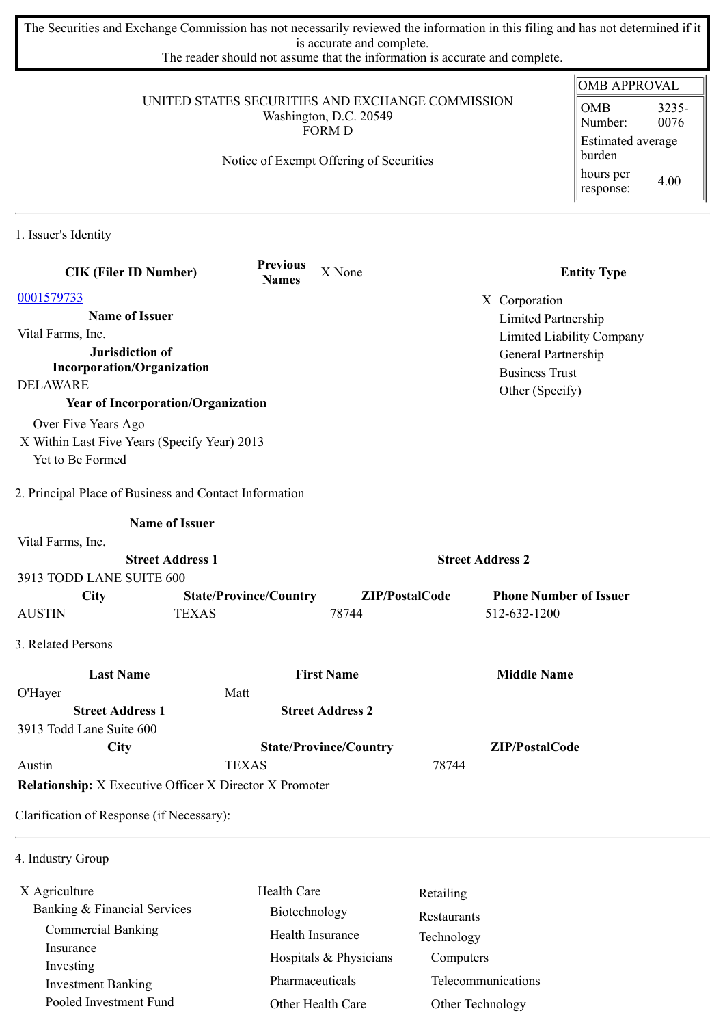The Securities and Exchange Commission has not necessarily reviewed the information in this filing and has not determined if it is accurate and complete.

The reader should not assume that the information is accurate and complete.

|                                                                                             |                                         |                               |                               | <b>OMB APPROVAL</b>                                         |
|---------------------------------------------------------------------------------------------|-----------------------------------------|-------------------------------|-------------------------------|-------------------------------------------------------------|
| UNITED STATES SECURITIES AND EXCHANGE COMMISSION<br>Washington, D.C. 20549<br><b>FORM D</b> |                                         |                               |                               | <b>OMB</b><br>3235-<br>0076<br>Number:<br>Estimated average |
|                                                                                             | Notice of Exempt Offering of Securities |                               |                               | burden<br>hours per<br>4.00<br>response:                    |
| 1. Issuer's Identity                                                                        |                                         |                               |                               |                                                             |
| <b>CIK (Filer ID Number)</b>                                                                | <b>Previous</b><br><b>Names</b>         | X None                        |                               | <b>Entity Type</b>                                          |
| 0001579733                                                                                  |                                         |                               | X Corporation                 |                                                             |
| <b>Name of Issuer</b>                                                                       |                                         |                               | Limited Partnership           |                                                             |
| Vital Farms, Inc.                                                                           |                                         |                               |                               | Limited Liability Company                                   |
| Jurisdiction of                                                                             |                                         |                               | General Partnership           |                                                             |
| <b>Incorporation/Organization</b>                                                           |                                         |                               | <b>Business Trust</b>         |                                                             |
| <b>DELAWARE</b>                                                                             |                                         |                               | Other (Specify)               |                                                             |
| <b>Year of Incorporation/Organization</b>                                                   |                                         |                               |                               |                                                             |
| Over Five Years Ago                                                                         |                                         |                               |                               |                                                             |
| X Within Last Five Years (Specify Year) 2013<br>Yet to Be Formed                            |                                         |                               |                               |                                                             |
|                                                                                             |                                         |                               |                               |                                                             |
| 2. Principal Place of Business and Contact Information                                      |                                         |                               |                               |                                                             |
| <b>Name of Issuer</b>                                                                       |                                         |                               |                               |                                                             |
| Vital Farms, Inc.                                                                           |                                         |                               |                               |                                                             |
| <b>Street Address 1</b>                                                                     |                                         |                               | <b>Street Address 2</b>       |                                                             |
| 3913 TODD LANE SUITE 600                                                                    |                                         |                               |                               |                                                             |
| City                                                                                        | <b>State/Province/Country</b>           | ZIP/PostalCode                | <b>Phone Number of Issuer</b> |                                                             |
| <b>AUSTIN</b>                                                                               | <b>TEXAS</b>                            | 78744                         | 512-632-1200                  |                                                             |
| 3. Related Persons                                                                          |                                         |                               |                               |                                                             |
| <b>Last Name</b>                                                                            |                                         | <b>First Name</b>             | <b>Middle Name</b>            |                                                             |
| O'Hayer                                                                                     | Matt                                    |                               |                               |                                                             |
| <b>Street Address 1</b>                                                                     |                                         | <b>Street Address 2</b>       |                               |                                                             |
| 3913 Todd Lane Suite 600                                                                    |                                         |                               |                               |                                                             |
| <b>City</b>                                                                                 |                                         | <b>State/Province/Country</b> | ZIP/PostalCode                |                                                             |
| Austin                                                                                      | <b>TEXAS</b>                            |                               | 78744                         |                                                             |
| <b>Relationship:</b> X Executive Officer X Director X Promoter                              |                                         |                               |                               |                                                             |
| Clarification of Response (if Necessary):                                                   |                                         |                               |                               |                                                             |
| 4 Industry Group                                                                            |                                         |                               |                               |                                                             |

ndustry Group

| X Agriculture                          | <b>Health Care</b>     | Retailing          |
|----------------------------------------|------------------------|--------------------|
| Banking & Financial Services           | Biotechnology          | Restaurants        |
| <b>Commercial Banking</b>              | Health Insurance       | Technology         |
| Insurance                              | Hospitals & Physicians | Computers          |
| Investing<br><b>Investment Banking</b> | Pharmaceuticals        | Telecommunications |
| Pooled Investment Fund                 | Other Health Care      | Other Technology   |
|                                        |                        |                    |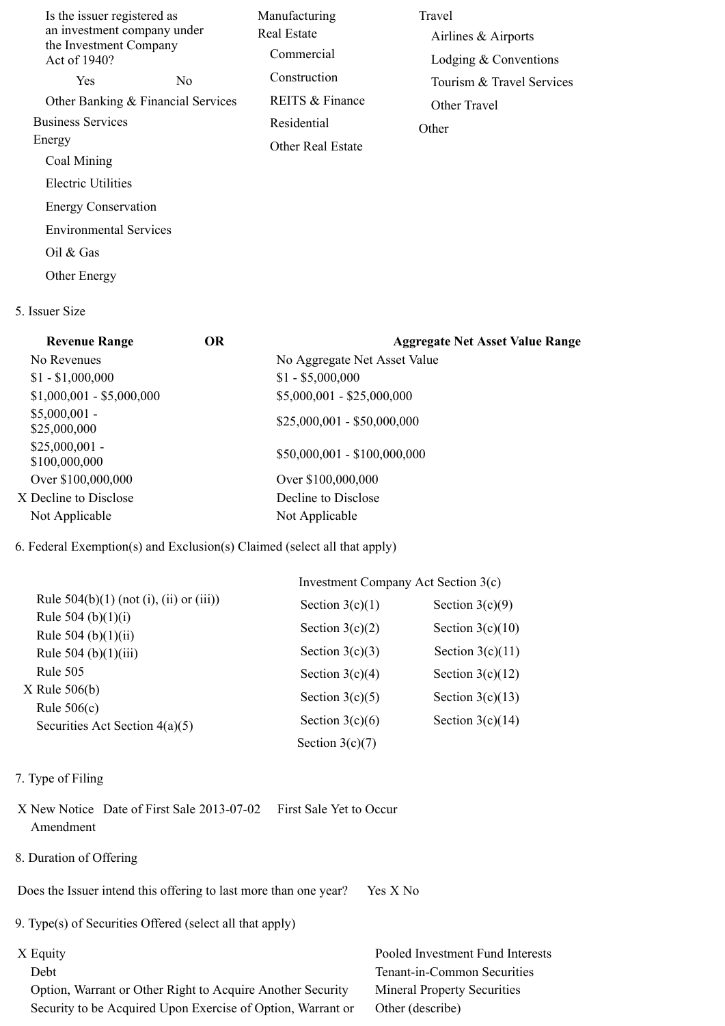| Is the issuer registered as<br>an investment company under<br>the Investment Company<br>Act of 1940? | Manufacturing<br>Real Estate<br>Commercial | Travel<br>Airlines & Airports<br>Lodging $&$ Conventions |
|------------------------------------------------------------------------------------------------------|--------------------------------------------|----------------------------------------------------------|
| Yes.<br>N <sub>0</sub>                                                                               | Construction                               | Tourism & Travel Services                                |
| Other Banking & Financial Services                                                                   | REITS & Finance                            | Other Travel                                             |
| <b>Business Services</b>                                                                             | Residential                                | Other                                                    |
| Energy                                                                                               | <b>Other Real Estate</b>                   |                                                          |
| Coal Mining                                                                                          |                                            |                                                          |
| Electric Utilities                                                                                   |                                            |                                                          |
| <b>Energy Conservation</b>                                                                           |                                            |                                                          |
| <b>Environmental Services</b>                                                                        |                                            |                                                          |
| Oil & Gas                                                                                            |                                            |                                                          |

Other Energy

## 5. Issuer Size

| <b>Revenue Range</b>             | <b>OR</b> | <b>Aggregate Net Asset Value Range</b> |
|----------------------------------|-----------|----------------------------------------|
| No Revenues                      |           | No Aggregate Net Asset Value           |
| $$1 - $1,000,000$                |           | $$1 - $5,000,000$                      |
| $$1,000,001 - $5,000,000$        |           | $$5,000,001 - $25,000,000$             |
| $$5,000,001$ -<br>\$25,000,000   |           | $$25,000,001 - $50,000,000$            |
| $$25,000,001$ -<br>\$100,000,000 |           | $$50,000,001 - $100,000,000$           |
| Over \$100,000,000               |           | Over \$100,000,000                     |
| X Decline to Disclose            |           | Decline to Disclose                    |
| Not Applicable                   |           | Not Applicable                         |

# 6. Federal Exemption(s) and Exclusion(s) Claimed (select all that apply)

|                                                | Investment Company Act Section 3(c) |                    |  |
|------------------------------------------------|-------------------------------------|--------------------|--|
| Rule $504(b)(1)$ (not (i), (ii) or (iii))      | Section $3(c)(1)$                   | Section $3(c)(9)$  |  |
| Rule 504 (b) $(1)(i)$<br>Rule $504$ (b)(1)(ii) | Section $3(c)(2)$                   | Section $3(c)(10)$ |  |
| Rule $504$ (b) $(1)(iii)$                      | Section $3(c)(3)$                   | Section $3(c)(11)$ |  |
| Rule $505$                                     | Section $3(c)(4)$                   | Section $3(c)(12)$ |  |
| X Rule 506(b)<br>Rule $506(c)$                 | Section $3(c)(5)$                   | Section $3(c)(13)$ |  |
| Securities Act Section $4(a)(5)$               | Section $3(c)(6)$                   | Section $3(c)(14)$ |  |
|                                                | Section $3(c)(7)$                   |                    |  |

## 7. Type of Filing

- X New Notice Date of First Sale 2013-07-02 First Sale Yet to Occur Amendment
- 8. Duration of Offering

Does the Issuer intend this offering to last more than one year? Yes X No

9. Type(s) of Securities Offered (select all that apply)

 Option, Warrant or Other Right to Acquire Another Security Mineral Property Securities Security to be Acquired Upon Exercise of Option, Warrant or Other (describe)

X Equity Pooled Investment Fund Interests Debt Tenant-in-Common Securities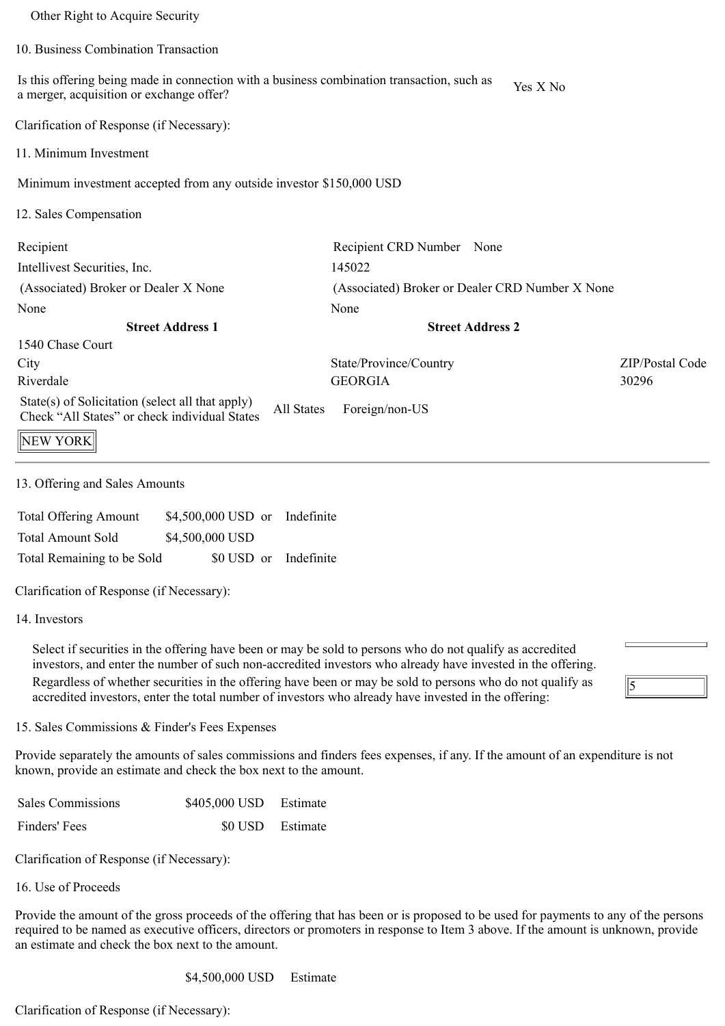| Other Right to Acquire Security                                                                                                        |                                                 |                 |
|----------------------------------------------------------------------------------------------------------------------------------------|-------------------------------------------------|-----------------|
| 10. Business Combination Transaction                                                                                                   |                                                 |                 |
| Is this offering being made in connection with a business combination transaction, such as<br>a merger, acquisition or exchange offer? | Yes X No                                        |                 |
| Clarification of Response (if Necessary):                                                                                              |                                                 |                 |
| 11. Minimum Investment                                                                                                                 |                                                 |                 |
| Minimum investment accepted from any outside investor \$150,000 USD                                                                    |                                                 |                 |
| 12. Sales Compensation                                                                                                                 |                                                 |                 |
| Recipient                                                                                                                              | Recipient CRD Number None                       |                 |
| Intellivest Securities, Inc.                                                                                                           | 145022                                          |                 |
| (Associated) Broker or Dealer X None                                                                                                   | (Associated) Broker or Dealer CRD Number X None |                 |
| None                                                                                                                                   | None                                            |                 |
| <b>Street Address 1</b>                                                                                                                | <b>Street Address 2</b>                         |                 |
| 1540 Chase Court                                                                                                                       |                                                 |                 |
| City                                                                                                                                   | State/Province/Country                          | ZIP/Postal Code |
| Riverdale                                                                                                                              | <b>GEORGIA</b>                                  | 30296           |
| State(s) of Solicitation (select all that apply)<br><b>All States</b><br>Check "All States" or check individual States                 | Foreign/non-US                                  |                 |
| NEW YORK                                                                                                                               |                                                 |                 |

13. Offering and Sales Amounts

| <b>Total Offering Amount</b> | \$4,500,000 USD or Indefinite |  |
|------------------------------|-------------------------------|--|
| <b>Total Amount Sold</b>     | \$4,500,000 USD               |  |
| Total Remaining to be Sold   | \$0 USD or Indefinite         |  |

Clarification of Response (if Necessary):

14. Investors

Select if securities in the offering have been or may be sold to persons who do not qualify as accredited investors, and enter the number of such non-accredited investors who already have invested in the offering. Regardless of whether securities in the offering have been or may be sold to persons who do not qualify as accredited investors, enter the total number of investors who already have invested in the offering:

 $\sqrt{5}$ 

15. Sales Commissions & Finder's Fees Expenses

Provide separately the amounts of sales commissions and finders fees expenses, if any. If the amount of an expenditure is not known, provide an estimate and check the box next to the amount.

| Sales Commissions | \$405,000 USD Estimate |                  |
|-------------------|------------------------|------------------|
| Finders' Fees     |                        | \$0 USD Estimate |

Clarification of Response (if Necessary):

16. Use of Proceeds

Provide the amount of the gross proceeds of the offering that has been or is proposed to be used for payments to any of the persons required to be named as executive officers, directors or promoters in response to Item 3 above. If the amount is unknown, provide an estimate and check the box next to the amount.

\$4,500,000 USD Estimate

Clarification of Response (if Necessary):